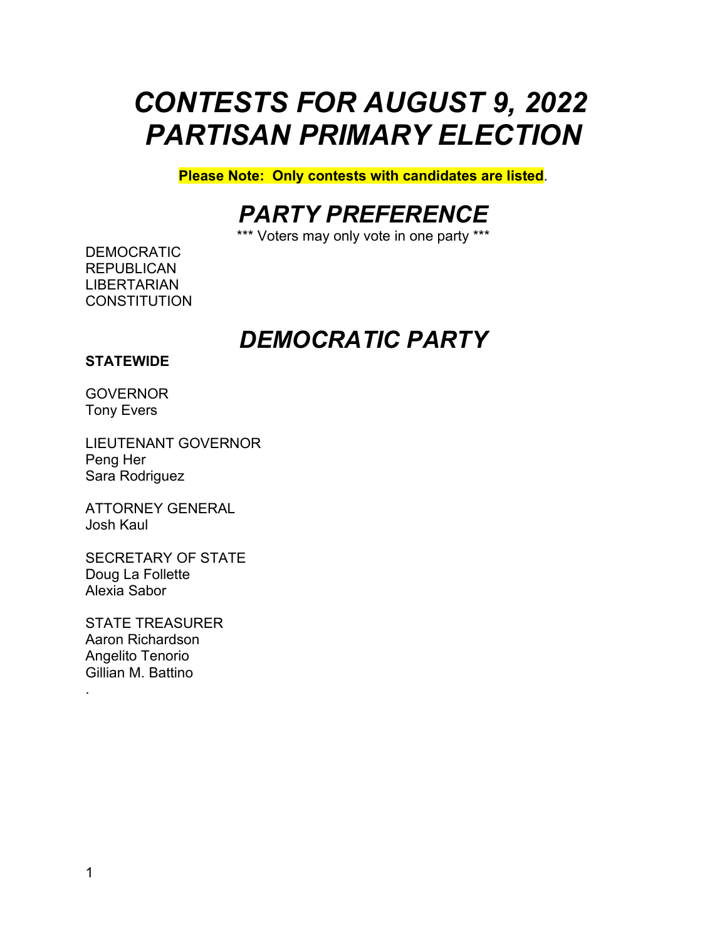# *CONTESTS FOR AUGUST 9, 2022 PARTISAN PRIMARY ELECTION*

**Please Note: Only contests with candidates are listed**.

## *PARTY PREFERENCE*

\*\*\* Voters may only vote in one party \*\*\*

DEMOCRATIC **REPUBLICAN** LIBERTARIAN **CONSTITUTION** 

## *DEMOCRATIC PARTY*

### **STATEWIDE**

**GOVERNOR** Tony Evers

LIEUTENANT GOVERNOR Peng Her Sara Rodriguez

ATTORNEY GENERAL Josh Kaul

SECRETARY OF STATE Doug La Follette Alexia Sabor

STATE TREASURER Aaron Richardson Angelito Tenorio Gillian M. Battino

.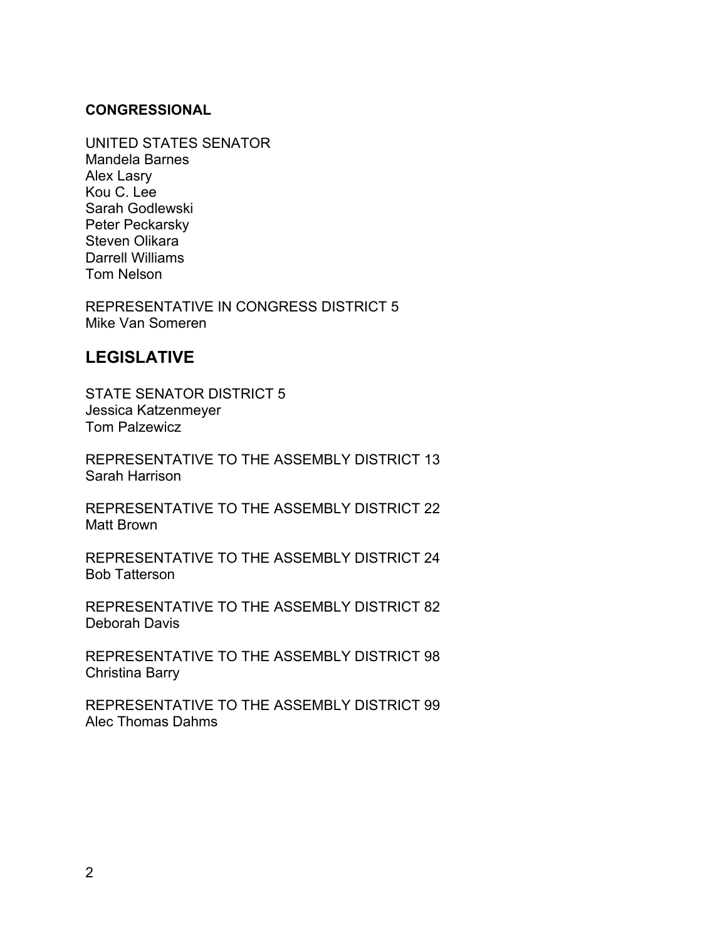### **CONGRESSIONAL**

UNITED STATES SENATOR Mandela Barnes Alex Lasry Kou C. Lee Sarah Godlewski Peter Peckarsky Steven Olikara Darrell Williams Tom Nelson

REPRESENTATIVE IN CONGRESS DISTRICT 5 Mike Van Someren

## **LEGISLATIVE**

STATE SENATOR DISTRICT 5 Jessica Katzenmeyer Tom Palzewicz

REPRESENTATIVE TO THE ASSEMBLY DISTRICT 13 Sarah Harrison

REPRESENTATIVE TO THE ASSEMBLY DISTRICT 22 Matt Brown

REPRESENTATIVE TO THE ASSEMBLY DISTRICT 24 Bob Tatterson

REPRESENTATIVE TO THE ASSEMBLY DISTRICT 82 Deborah Davis

REPRESENTATIVE TO THE ASSEMBLY DISTRICT 98 Christina Barry

REPRESENTATIVE TO THE ASSEMBLY DISTRICT 99 Alec Thomas Dahms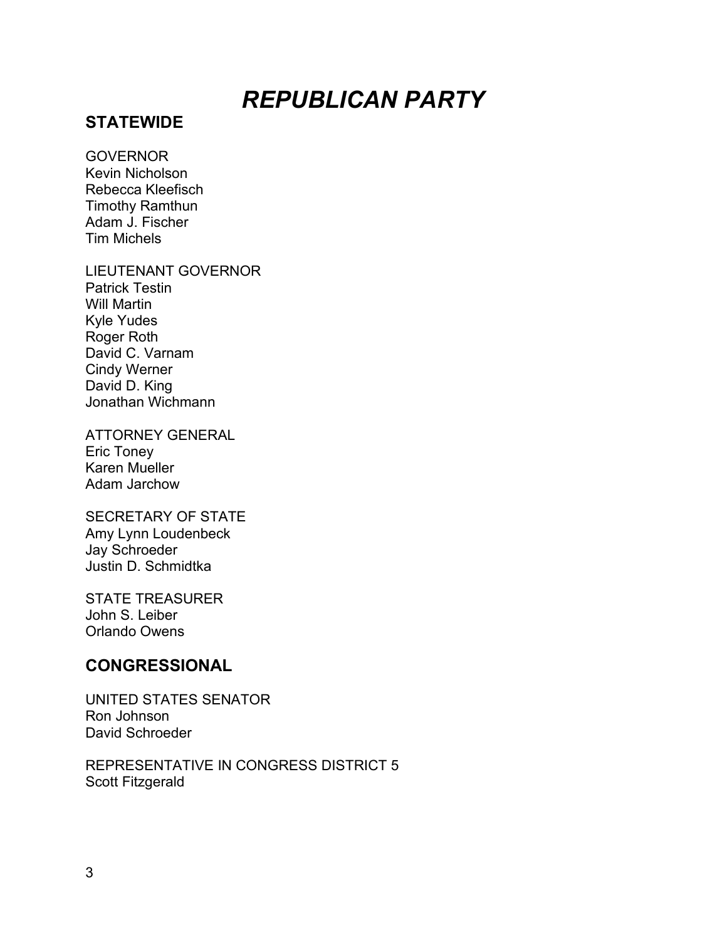# *REPUBLICAN PARTY*

## **STATEWIDE**

#### **GOVERNOR**

Kevin Nicholson Rebecca Kleefisch Timothy Ramthun Adam J. Fischer Tim Michels

LIEUTENANT GOVERNOR

Patrick Testin Will Martin Kyle Yudes Roger Roth David C. Varnam Cindy Werner David D. King Jonathan Wichmann

ATTORNEY GENERAL Eric Toney Karen Mueller Adam Jarchow

SECRETARY OF STATE Amy Lynn Loudenbeck Jay Schroeder Justin D. Schmidtka

STATE TREASURER John S. Leiber Orlando Owens

## **CONGRESSIONAL**

UNITED STATES SENATOR Ron Johnson David Schroeder

REPRESENTATIVE IN CONGRESS DISTRICT 5 Scott Fitzgerald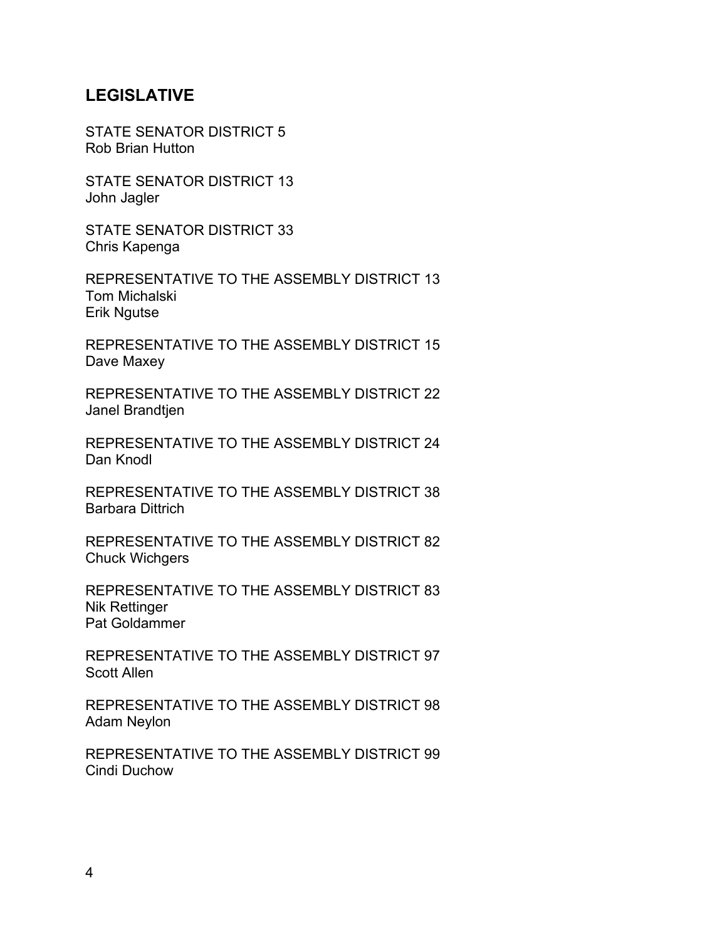## **LEGISLATIVE**

STATE SENATOR DISTRICT 5 Rob Brian Hutton

STATE SENATOR DISTRICT 13 John Jagler

STATE SENATOR DISTRICT 33 Chris Kapenga

REPRESENTATIVE TO THE ASSEMBLY DISTRICT 13 Tom Michalski Erik Ngutse

REPRESENTATIVE TO THE ASSEMBLY DISTRICT 15 Dave Maxey

REPRESENTATIVE TO THE ASSEMBLY DISTRICT 22 Janel Brandtjen

REPRESENTATIVE TO THE ASSEMBLY DISTRICT 24 Dan Knodl

REPRESENTATIVE TO THE ASSEMBLY DISTRICT 38 Barbara Dittrich

REPRESENTATIVE TO THE ASSEMBLY DISTRICT 82 Chuck Wichgers

REPRESENTATIVE TO THE ASSEMBLY DISTRICT 83 Nik Rettinger Pat Goldammer

REPRESENTATIVE TO THE ASSEMBLY DISTRICT 97 Scott Allen

REPRESENTATIVE TO THE ASSEMBLY DISTRICT 98 Adam Neylon

REPRESENTATIVE TO THE ASSEMBLY DISTRICT 99 Cindi Duchow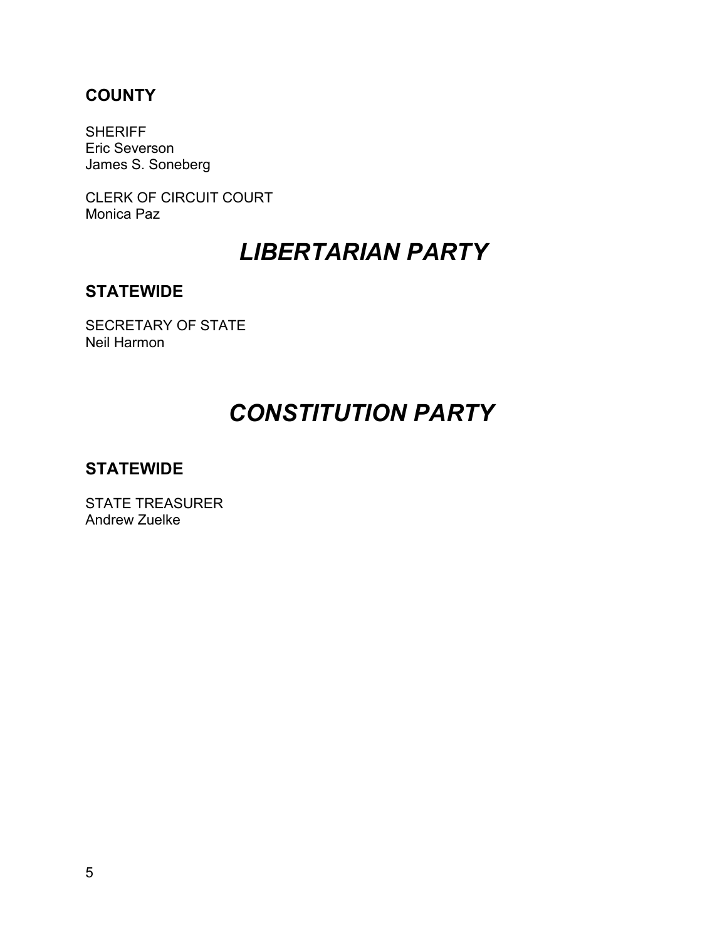## **COUNTY**

**SHERIFF** Eric Severson James S. Soneberg

CLERK OF CIRCUIT COURT Monica Paz

## *LIBERTARIAN PARTY*

## **STATEWIDE**

SECRETARY OF STATE Neil Harmon

# *CONSTITUTION PARTY*

## **STATEWIDE**

STATE TREASURER Andrew Zuelke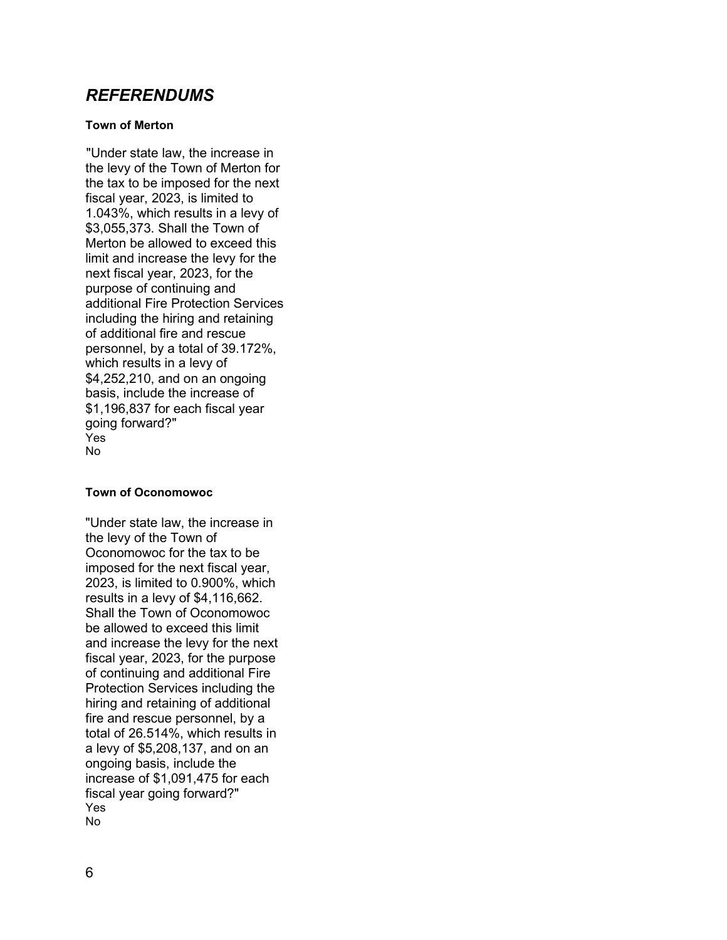### *REFERENDUMS*

#### **Town of Merton**

"Under state law, the increase in the levy of the Town of Merton for the tax to be imposed for the next fiscal year, 2023, is limited to 1.043%, which results in a levy of \$3,055,373. Shall the Town of Merton be allowed to exceed this limit and increase the levy for the next fiscal year, 2023, for the purpose of continuing and additional Fire Protection Services including the hiring and retaining of additional fire and rescue personnel, by a total of 39.172%, which results in a levy of \$4,252,210, and on an ongoing basis, include the increase of \$1,196,837 for each fiscal year going forward?" Yes No

#### **Town of Oconomowoc**

"Under state law, the increase in the levy of the Town of Oconomowoc for the tax to be imposed for the next fiscal year, 2023, is limited to 0.900%, which results in a levy of \$4,116,662. Shall the Town of Oconomowoc be allowed to exceed this limit and increase the levy for the next fiscal year, 2023, for the purpose of continuing and additional Fire Protection Services including the hiring and retaining of additional fire and rescue personnel, by a total of 26.514%, which results in a levy of \$5,208,137, and on an ongoing basis, include the increase of \$1,091,475 for each fiscal year going forward?" Yes No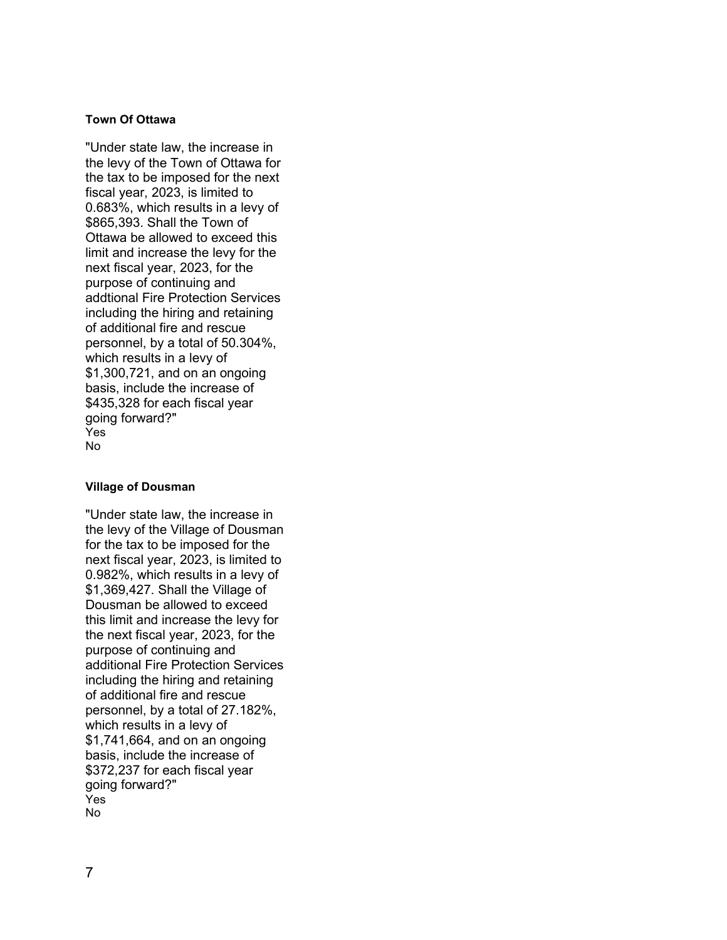#### **Town Of Ottawa**

"Under state law, the increase in the levy of the Town of Ottawa for the tax to be imposed for the next fiscal year, 2023, is limited to 0.683%, which results in a levy of \$865,393. Shall the Town of Ottawa be allowed to exceed this limit and increase the levy for the next fiscal year, 2023, for the purpose of continuing and addtional Fire Protection Services including the hiring and retaining of additional fire and rescue personnel, by a total of 50.304%, which results in a levy of \$1,300,721, and on an ongoing basis, include the increase of \$435,328 for each fiscal year going forward?" Yes No

#### **Village of Dousman**

"Under state law, the increase in the levy of the Village of Dousman for the tax to be imposed for the next fiscal year, 2023, is limited to 0.982%, which results in a levy of \$1,369,427. Shall the Village of Dousman be allowed to exceed this limit and increase the levy for the next fiscal year, 2023, for the purpose of continuing and additional Fire Protection Services including the hiring and retaining of additional fire and rescue personnel, by a total of 27.182%, which results in a levy of \$1,741,664, and on an ongoing basis, include the increase of \$372,237 for each fiscal year going forward?" Yes No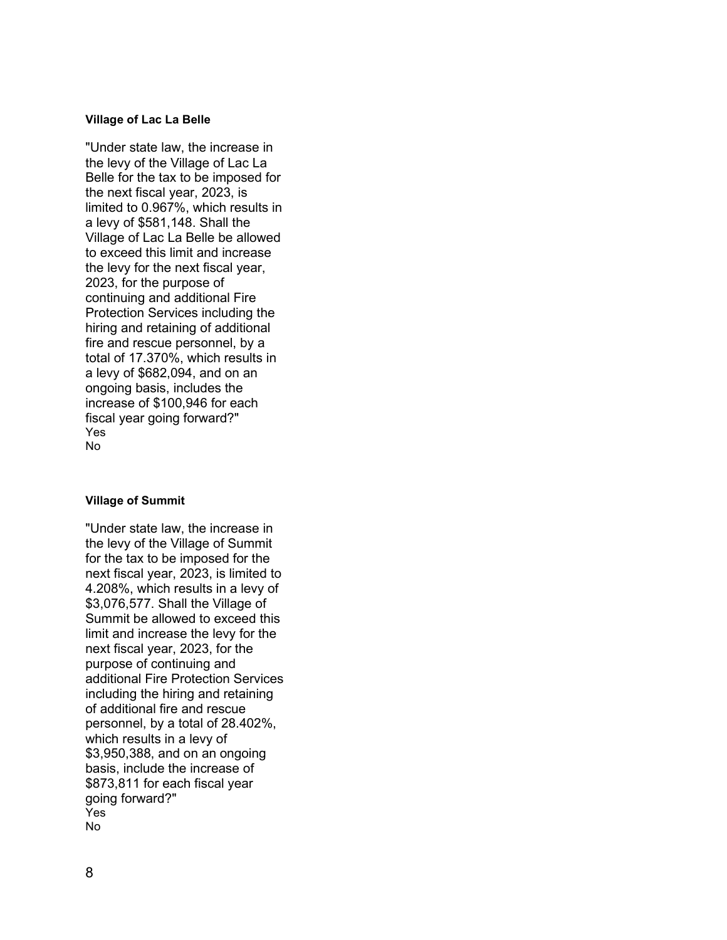#### **Village of Lac La Belle**

"Under state law, the increase in the levy of the Village of Lac La Belle for the tax to be imposed for the next fiscal year, 2023, is limited to 0.967%, which results in a levy of \$581,148. Shall the Village of Lac La Belle be allowed to exceed this limit and increase the levy for the next fiscal year, 2023, for the purpose of continuing and additional Fire Protection Services including the hiring and retaining of additional fire and rescue personnel, by a total of 17.370%, which results in a levy of \$682,094, and on an ongoing basis, includes the increase of \$100,946 for each fiscal year going forward?" Yes No

#### **Village of Summit**

"Under state law, the increase in the levy of the Village of Summit for the tax to be imposed for the next fiscal year, 2023, is limited to 4.208%, which results in a levy of \$3,076,577. Shall the Village of Summit be allowed to exceed this limit and increase the levy for the next fiscal year, 2023, for the purpose of continuing and additional Fire Protection Services including the hiring and retaining of additional fire and rescue personnel, by a total of 28.402%, which results in a levy of \$3,950,388, and on an ongoing basis, include the increase of \$873,811 for each fiscal year going forward?" Yes No